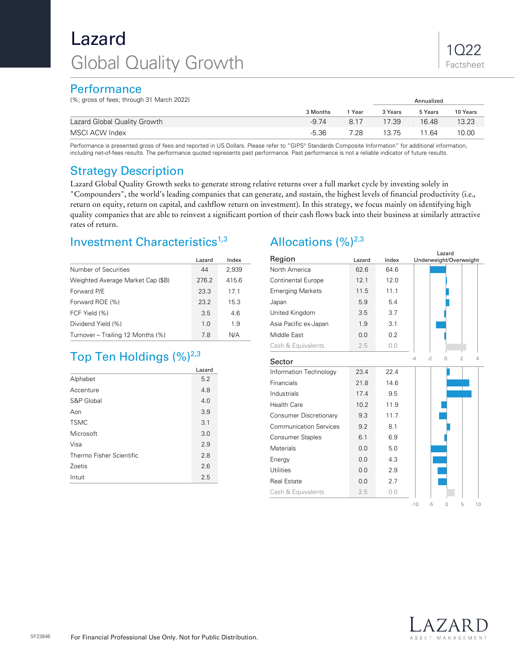# Lazard Global Quality Growth

### **Performance**

(%; gross of fees; through 31 March 2022) Annualized

| $\frac{1}{2}$ , $\frac{1}{2}$ , $\frac{1}{2}$ , $\frac{1}{2}$ , $\frac{1}{2}$ , $\frac{1}{2}$ , $\frac{1}{2}$ , $\frac{1}{2}$ , $\frac{1}{2}$ , $\frac{1}{2}$ , $\frac{1}{2}$ , $\frac{1}{2}$ , $\frac{1}{2}$ , $\frac{1}{2}$ |          |      |         |         |          |
|-------------------------------------------------------------------------------------------------------------------------------------------------------------------------------------------------------------------------------|----------|------|---------|---------|----------|
|                                                                                                                                                                                                                               | 3 Months | Year | 3 Years | 5 Years | 10 Years |
| Lazard Global Quality Growth                                                                                                                                                                                                  | $-9.74$  | 8.17 | 17.39   | 16.48   | 13.23    |
| MSCI ACW Index                                                                                                                                                                                                                | $-5.36$  | 7.28 | 13.75   | 11.64   | 10.00    |

Performance is presented gross of fees and reported in US Dollars. Please refer to "GIPS® Standards Composite Information" for additional information, including net-of-fees results. The performance quoted represents past performance. Past performance is not a reliable indicator of future results.

### Strategy Description

Lazard Global Quality Growth seeks to generate strong relative returns over a full market cycle by investing solely in "Compounders", the world's leading companies that can generate, and sustain, the highest levels of financial productivity (i.e., return on equity, return on capital, and cashflow return on investment). In this strategy, we focus mainly on identifying high quality companies that are able to reinvest a significant portion of their cash flows back into their business at similarly attractive rates of return.

### Investment Characteristics<sup>1,3</sup>

|                                   | Lazard | Index |
|-----------------------------------|--------|-------|
| Number of Securities              | 44     | 2,939 |
| Weighted Average Market Cap (\$B) | 276.2  | 415.6 |
| Forward P/E                       | 23.3   | 17.1  |
| Forward ROE (%)                   | 23.2   | 15.3  |
| FCF Yield (%)                     | 3.5    | 4.6   |
| Dividend Yield (%)                | 1.0    | 1.9   |
| Turnover - Trailing 12 Months (%) | 7.8    | N/A   |

## Top Ten Holdings (%)<sup>2,3</sup>

|                          | Lazard |  |
|--------------------------|--------|--|
| Alphabet                 | 5.2    |  |
| Accenture                | 4.8    |  |
| S&P Global               | 4.0    |  |
| Aon                      | 3.9    |  |
| <b>TSMC</b>              | 3.1    |  |
| Microsoft                | 3.0    |  |
| Visa                     | 2.9    |  |
| Thermo Fisher Scientific | 2.8    |  |
| Zoetis                   | 2.6    |  |
| Intuit                   | 2.5    |  |

## Allocations  $(%)^{2,3}$

| Region                        | Lazard | Index | Lazard<br>Underweight/Overweight                |
|-------------------------------|--------|-------|-------------------------------------------------|
| North America                 | 62.6   | 64.6  |                                                 |
| Continental Europe            | 12.1   | 12.0  |                                                 |
| <b>Emerging Markets</b>       | 11.5   | 11.1  |                                                 |
| Japan                         | 5.9    | 5.4   |                                                 |
| United Kingdom                | 3.5    | 3.7   |                                                 |
| Asia Pacific ex-Japan         | 1.9    | 3.1   |                                                 |
| Middle East                   | 0.0    | 0.2   |                                                 |
| Cash & Equivalents            | 2.5    | 0.0   |                                                 |
| Sector                        |        |       | $-4$<br>$-2$<br>$\overline{2}$<br>$\Delta$<br>0 |
| Information Technology        | 23.4   | 22.4  |                                                 |
| Financials                    | 21.8   | 14.6  |                                                 |
| Industrials                   | 17.4   | 9.5   |                                                 |
| <b>Health Care</b>            | 10.2   | 11.9  |                                                 |
| Consumer Discretionary        | 9.3    | 11.7  |                                                 |
| <b>Communication Services</b> | 9.2    | 8.1   |                                                 |
| <b>Consumer Staples</b>       | 6.1    | 6.9   |                                                 |
| Materials                     | 0.0    | 5.0   |                                                 |
| Energy                        | 0.0    | 4.3   |                                                 |
| <b>Utilities</b>              | 0.0    | 2.9   |                                                 |
| <b>Real Estate</b>            | 0.0    | 2.7   |                                                 |
| Cash & Equivalents            | 2.5    | 0.0   |                                                 |
|                               |        |       | $-10$<br>$-5$<br>5<br>10<br>O                   |